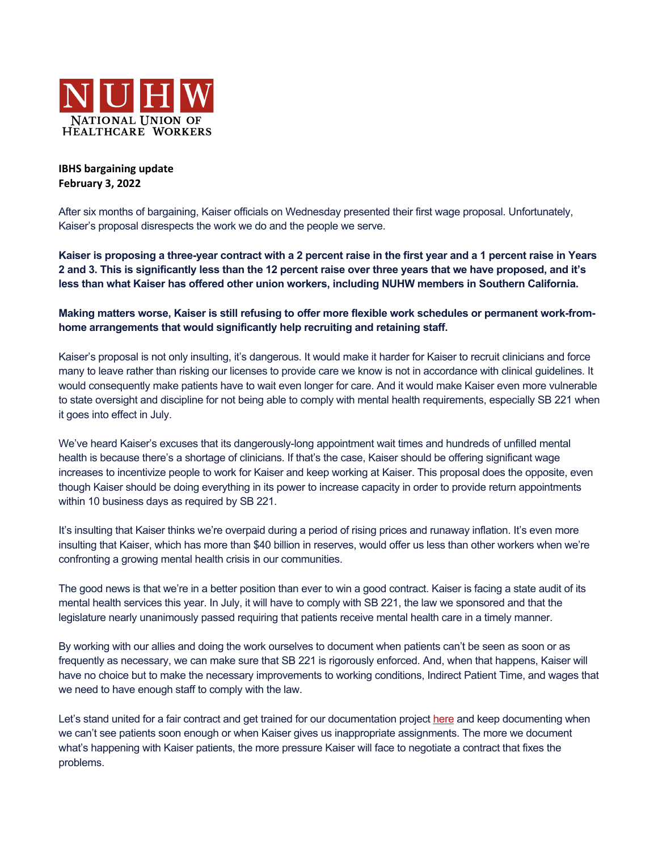

## **IBHS bargaining update February 3, 2022**

After six months of bargaining, Kaiser officials on Wednesday presented their first wage proposal. Unfortunately, Kaiser's proposal disrespects the work we do and the people we serve.

**Kaiser is proposing a three-year contract with a 2 percent raise in the first year and a 1 percent raise in Years 2 and 3. This is significantly less than the 12 percent raise over three years that we have proposed, and it's less than what Kaiser has offered other union workers, including NUHW members in Southern California.**

## **Making matters worse, Kaiser is still refusing to offer more flexible work schedules or permanent work-fromhome arrangements that would significantly help recruiting and retaining staff.**

Kaiser's proposal is not only insulting, it's dangerous. It would make it harder for Kaiser to recruit clinicians and force many to leave rather than risking our licenses to provide care we know is not in accordance with clinical guidelines. It would consequently make patients have to wait even longer for care. And it would make Kaiser even more vulnerable to state oversight and discipline for not being able to comply with mental health requirements, especially SB 221 when it goes into effect in July.

We've heard Kaiser's excuses that its dangerously-long appointment wait times and hundreds of unfilled mental health is because there's a shortage of clinicians. If that's the case, Kaiser should be offering significant wage increases to incentivize people to work for Kaiser and keep working at Kaiser. This proposal does the opposite, even though Kaiser should be doing everything in its power to increase capacity in order to provide return appointments within 10 business days as required by SB 221.

It's insulting that Kaiser thinks we're overpaid during a period of rising prices and runaway inflation. It's even more insulting that Kaiser, which has more than \$40 billion in reserves, would offer us less than other workers when we're confronting a growing mental health crisis in our communities.

The good news is that we're in a better position than ever to win a good contract. Kaiser is facing a state audit of its mental health services this year. In July, it will have to comply with SB 221, the law we sponsored and that the legislature nearly unanimously passed requiring that patients receive mental health care in a timely manner.

By working with our allies and doing the work ourselves to document when patients can't be seen as soon or as frequently as necessary, we can make sure that SB 221 is rigorously enforced. And, when that happens, Kaiser will have no choice but to make the necessary improvements to working conditions, Indirect Patient Time, and wages that we need to have enough staff to comply with the law.

Let's stand united for a fair contract and get trained for our documentation project here and keep documenting when we can't see patients soon enough or when Kaiser gives us inappropriate assignments. The more we document what's happening with Kaiser patients, the more pressure Kaiser will face to negotiate a contract that fixes the problems.